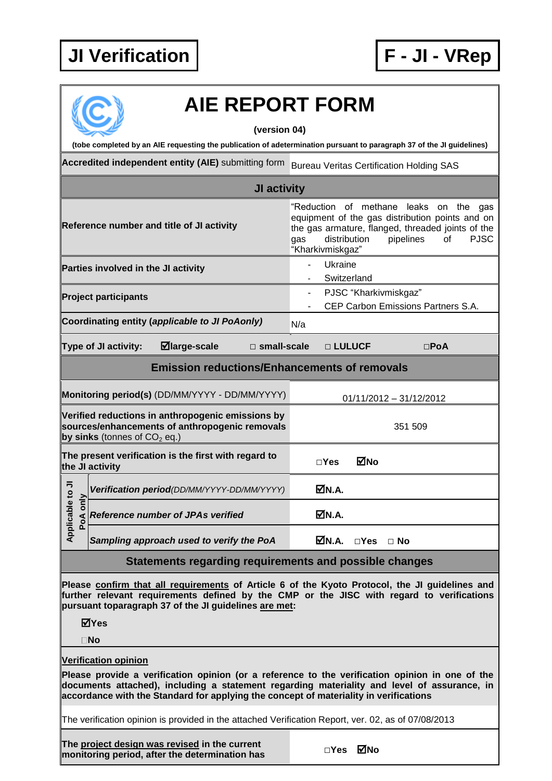## **JI Verification F - JI - VRep**



## **AIE REPORT FORM**

**(version 04)**

**(tobe completed by an AIE requesting the publication of adetermination pursuant to paragraph 37 of the JI guidelines)**

Accredited independent entity (AIE) submitting form Bureau Veritas Certification Holding SAS

| JI activity                                                                                                                           |                             |                                                                                                                                                                                                                                                      |                       |                                                                                                                                                                                                                             |               |                         |  |  |  |
|---------------------------------------------------------------------------------------------------------------------------------------|-----------------------------|------------------------------------------------------------------------------------------------------------------------------------------------------------------------------------------------------------------------------------------------------|-----------------------|-----------------------------------------------------------------------------------------------------------------------------------------------------------------------------------------------------------------------------|---------------|-------------------------|--|--|--|
| Reference number and title of JI activity                                                                                             |                             |                                                                                                                                                                                                                                                      |                       | "Reduction of methane leaks on the gas<br>equipment of the gas distribution points and on<br>the gas armature, flanged, threaded joints of the<br>pipelines<br><b>PJSC</b><br>distribution<br>of<br>gas<br>"Kharkivmiskgaz" |               |                         |  |  |  |
| Parties involved in the JI activity                                                                                                   |                             |                                                                                                                                                                                                                                                      |                       | Ukraine                                                                                                                                                                                                                     | Switzerland   |                         |  |  |  |
| <b>Project participants</b>                                                                                                           |                             |                                                                                                                                                                                                                                                      |                       | PJSC "Kharkivmiskgaz"<br>CEP Carbon Emissions Partners S.A.                                                                                                                                                                 |               |                         |  |  |  |
|                                                                                                                                       |                             | Coordinating entity (applicable to JI PoAonly)                                                                                                                                                                                                       | N/a                   |                                                                                                                                                                                                                             |               |                         |  |  |  |
|                                                                                                                                       | <b>Type of JI activity:</b> | $\blacksquare$ large-scale                                                                                                                                                                                                                           | $\square$ small-scale |                                                                                                                                                                                                                             | □ LULUCF      | $\square$ PoA           |  |  |  |
| <b>Emission reductions/Enhancements of removals</b>                                                                                   |                             |                                                                                                                                                                                                                                                      |                       |                                                                                                                                                                                                                             |               |                         |  |  |  |
| Monitoring period(s) (DD/MM/YYYY - DD/MM/YYYY)                                                                                        |                             |                                                                                                                                                                                                                                                      |                       |                                                                                                                                                                                                                             |               | 01/11/2012 - 31/12/2012 |  |  |  |
| Verified reductions in anthropogenic emissions by<br>sources/enhancements of anthropogenic removals<br>by sinks (tonnes of $CO2$ eq.) |                             |                                                                                                                                                                                                                                                      |                       | 351 509                                                                                                                                                                                                                     |               |                         |  |  |  |
| The present verification is the first with regard to<br>the JI activity                                                               |                             |                                                                                                                                                                                                                                                      |                       | $\square$ Yes                                                                                                                                                                                                               | MNo           |                         |  |  |  |
| Applicable to JI<br>PoA only                                                                                                          |                             | Verification period(DD/MM/YYYY-DD/MM/YYYY)                                                                                                                                                                                                           |                       | ØN.A.                                                                                                                                                                                                                       |               |                         |  |  |  |
|                                                                                                                                       |                             | Reference number of JPAs verified                                                                                                                                                                                                                    |                       | ØN.A.                                                                                                                                                                                                                       |               |                         |  |  |  |
|                                                                                                                                       |                             | Sampling approach used to verify the PoA                                                                                                                                                                                                             |                       | MN.A.                                                                                                                                                                                                                       | $\square$ Yes | ⊟ No                    |  |  |  |
| Statements regarding requirements and possible changes                                                                                |                             |                                                                                                                                                                                                                                                      |                       |                                                                                                                                                                                                                             |               |                         |  |  |  |
|                                                                                                                                       | ⊠Yes<br>$\square$ No        | Please confirm that all requirements of Article 6 of the Kyoto Protocol, the JI guidelines and<br>further relevant requirements defined by the CMP or the JISC with regard to verifications<br>pursuant toparagraph 37 of the JI guidelines are met: |                       |                                                                                                                                                                                                                             |               |                         |  |  |  |
|                                                                                                                                       | <b>Verification opinion</b> |                                                                                                                                                                                                                                                      |                       |                                                                                                                                                                                                                             |               |                         |  |  |  |
| Please provide a verification opinion (or a reference to the verification opinion in one of the                                       |                             |                                                                                                                                                                                                                                                      |                       |                                                                                                                                                                                                                             |               |                         |  |  |  |

**documents attached), including a statement regarding materiality and level of assurance, in accordance with the Standard for applying the concept of materiality in verifications**

The verification opinion is provided in the attached Verification Report, ver. 02, as of 07/08/2013

**The project design was revised in the current me** <u>project design was revised</u> in the current<br>monitoring period, after the determination has □ □